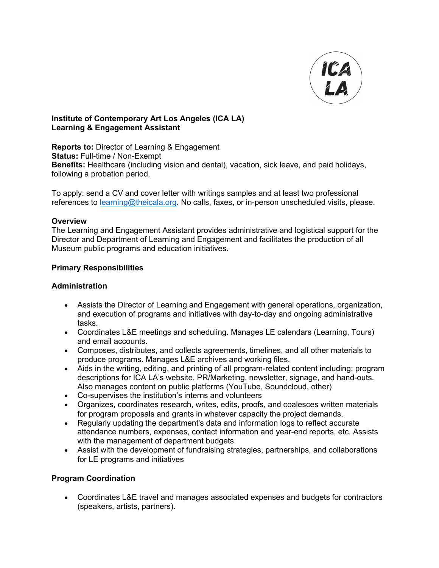

#### **Institute of Contemporary Art Los Angeles (ICA LA) Learning & Engagement Assistant**

**Reports to:** Director of Learning & Engagement **Status:** Full-time / Non-Exempt **Benefits:** Healthcare (including vision and dental), vacation, sick leave, and paid holidays, following a probation period.

To apply: send a CV and cover letter with writings samples and at least two professional references to learning@theicala.org. No calls, faxes, or in-person unscheduled visits, please.

#### **Overview**

The Learning and Engagement Assistant provides administrative and logistical support for the Director and Department of Learning and Engagement and facilitates the production of all Museum public programs and education initiatives.

#### **Primary Responsibilities**

#### **Administration**

- Assists the Director of Learning and Engagement with general operations, organization, and execution of programs and initiatives with day-to-day and ongoing administrative tasks.
- Coordinates L&E meetings and scheduling. Manages LE calendars (Learning, Tours) and email accounts.
- Composes, distributes, and collects agreements, timelines, and all other materials to produce programs. Manages L&E archives and working files.
- Aids in the writing, editing, and printing of all program-related content including: program descriptions for ICA LA's website, PR/Marketing, newsletter, signage, and hand-outs. Also manages content on public platforms (YouTube, Soundcloud, other)
- Co-supervises the institution's interns and volunteers
- Organizes, coordinates research, writes, edits, proofs, and coalesces written materials for program proposals and grants in whatever capacity the project demands.
- Regularly updating the department's data and information logs to reflect accurate attendance numbers, expenses, contact information and year-end reports, etc. Assists with the management of department budgets
- Assist with the development of fundraising strategies, partnerships, and collaborations for LE programs and initiatives

# **Program Coordination**

• Coordinates L&E travel and manages associated expenses and budgets for contractors (speakers, artists, partners).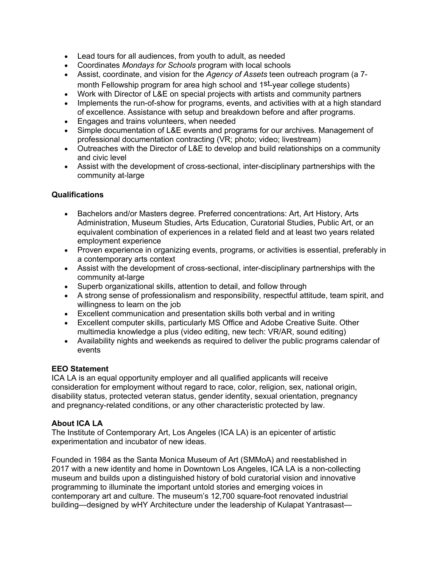- Lead tours for all audiences, from youth to adult, as needed
- Coordinates *Mondays for Schools* program with local schools
- Assist, coordinate, and vision for the *Agency of Assets* teen outreach program (a 7 month Fellowship program for area high school and 1st-year college students)
- Work with Director of L&E on special projects with artists and community partners
- Implements the run-of-show for programs, events, and activities with at a high standard of excellence. Assistance with setup and breakdown before and after programs.
- Engages and trains volunteers, when needed
- Simple documentation of L&E events and programs for our archives. Management of professional documentation contracting (VR; photo; video; livestream)
- Outreaches with the Director of L&E to develop and build relationships on a community and civic level
- Assist with the development of cross-sectional, inter-disciplinary partnerships with the community at-large

# **Qualifications**

- Bachelors and/or Masters degree. Preferred concentrations: Art, Art History, Arts Administration, Museum Studies, Arts Education, Curatorial Studies, Public Art, or an equivalent combination of experiences in a related field and at least two years related employment experience
- Proven experience in organizing events, programs, or activities is essential, preferably in a contemporary arts context
- Assist with the development of cross-sectional, inter-disciplinary partnerships with the community at-large
- Superb organizational skills, attention to detail, and follow through
- A strong sense of professionalism and responsibility, respectful attitude, team spirit, and willingness to learn on the job
- Excellent communication and presentation skills both verbal and in writing
- Excellent computer skills, particularly MS Office and Adobe Creative Suite. Other multimedia knowledge a plus (video editing, new tech: VR/AR, sound editing)
- Availability nights and weekends as required to deliver the public programs calendar of events

# **EEO Statement**

ICA LA is an equal opportunity employer and all qualified applicants will receive consideration for employment without regard to race, color, religion, sex, national origin, disability status, protected veteran status, gender identity, sexual orientation, pregnancy and pregnancy-related conditions, or any other characteristic protected by law.

# **About ICA LA**

The Institute of Contemporary Art, Los Angeles (ICA LA) is an epicenter of artistic experimentation and incubator of new ideas.

Founded in 1984 as the Santa Monica Museum of Art (SMMoA) and reestablished in 2017 with a new identity and home in Downtown Los Angeles, ICA LA is a non-collecting museum and builds upon a distinguished history of bold curatorial vision and innovative programming to illuminate the important untold stories and emerging voices in contemporary art and culture. The museum's 12,700 square-foot renovated industrial building—designed by wHY Architecture under the leadership of Kulapat Yantrasast